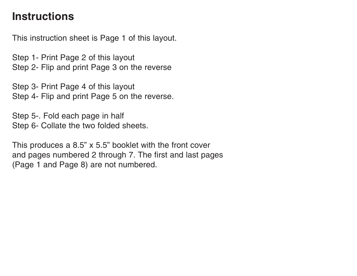# **Instructions**

This instruction sheet is Page 1 of this layout.

Step 1- Print Page 2 of this layout Step 2- Flip and print Page 3 on the reverse

Step 4- Flip and print Page 5 on the reverse. Step 3- Print Page 4 of this layout

Step 5-. Fold each page in half Step 6- Collate the two folded sheets.

This produces a 8.5" x 5.5" booklet with the front cover (Page 1 and Page 8) are not numbered. and pages numbered 2 through 7. The first and last pages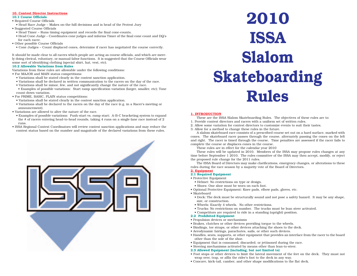# **10. Contest Director Instructions**

#### **10.1 Course Officials** • Required Course Officials

- Head Race Judge Makes on-the-hill decisions and is head of the Protest Jury
- Suggested Course Officials
- Head Timer Runs timing equipment and records the final cone-counts.
- Head Cone Judge Coordinates cone judges and informs Timer of the final cone count and DQ's for each racer.
- Other possible Course Officials
	- Cone Judges Count displaced cones, determine if racer has negotiated the course correctly.

It should be made clear to all racers which people are acting as course officials, and which are merely doing clerical, voluntary, or manual-labor functions. It is suggested that the Course Officials wear some sort of identifying clothing (special shirt, hat, vest, etc).

#### **10.2 Allowable Variations from Rules**

Variations from these rules are allowable under the following conditions:

- For MAJOR and MAIN status competitions:
- Variations shall be stated clearly in the contest sanction application.
- Variations shall be declared in written communication to the racers on the day of the race.
- Variations shall be minor, few, and not significantly change the nature of the race.
- Examples of possible variations: Start ramp specification variation (larger, smaller, etc); Tone count-down variation.
- For PRIME, BASIC, PLAIN status competitions:
- Variations shall be stated clearly in the contest sanction application.
- Variations shall be declared to the racers on the day of the race (e.g. in a Racer's meeting or announcement).
- Variations are allowed to alter the nature of the race.
- Examples of possible variations: Push-start vs. ramp start; A-B-C bracketing system to expand the # of racers entering head-to-head rounds, taking 4 runs on a single-lane race instead of 2 runs.
- ISSA Regional Contest Coordinators will review contest sanction applications and may reduce the contest status based on the number and magnitude of the declared variations from these rules.



# **ISSA Slalom Skateboarding Rules 2010**

#### **1. INTRODUCTION**

- These are the ISSA Slalom Skateboarding Rules. The objectives of these rules are to:
- 1. Provide contest directors and racers with a uniform set of written rules.
- 2. Allow some variation for contest directors to customize events to suit their tastes.
- 3. Allow for a method to change these rules in the future.

A slalom skateboard race consists of a prescribed course set out on a hard surface, marked with cones. The skateboard racer passes through the course, alternately passing the cones on the left and right. The racer is timed through the course. Time penalties are assessed if the racer fails to complete the course or displaces cones in the course.

These rules are in effect for the calendar year 2010

These rules will be updated in 2010. Members of the ISSA may propose rules changes at any time before September 1 2010. The rules committee of the ISSA may then accept, modify, or reject the proposed rule change for the 2011 rules.

rules during the race season by a majority vote of the Board of Directors. The ISSA Board of Directors may make clarifications, emergency changes, or alterations to these

#### **2. Equipment**

## **2.1 Required Equipment**

- Protective Equipment
	- Helmet: No restrictions on type or design.
- Shoes: One shoe must be worn on each foot.
- Optional Protective Equipment: Knee pads, elbow pads, gloves, etc.
- Skateboard
	- Deck: The deck must be structurally sound and not pose a safety hazard. It may be any shape, size, or construction.
	- Wheels: Exactly 4 wheels. No other restrictions.
	- Trucks: No restrictions on number. The trucks must be lean steer activated.
	- Competitors are required to ride in a standing (upright) position.

#### **2.2 Prohibited Equipment**

- Propulsion devices or mechanisms
- Brakes, clutches or other devices providing torque to the wheels.
- Bindings, toe straps, or other devices attaching the shoes to the deck.
- Aerodynamic fairings, parachutes, sails, or other such devices.
- Handles, seats, supports, or other equipment that provides an interface from the racer to the board other than the sole of the shoe.
- Equipment that is consumed, discarded, or jettisoned during the race.
- Steering mechanisms activated by means other than lean-to-steer.

#### **2.3 Allowed Equipment (including, but not limited to)**

- Foot stops or other devices to limit the lateral movement of the feet on the deck. They must not wrap over, trap, or affix the rider's foot to the deck in any way.
- Concave, kick-tail, camber, and other shape modifications to the flat deck.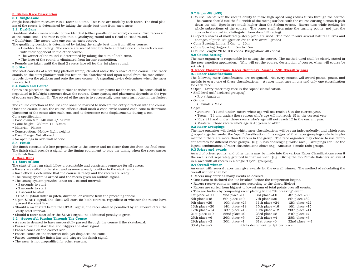#### **3. Slalom Race Description**

#### **3.1 Single-Lane**

Single-lane slalom races are run 1-racer at a time. Two runs are made by each racer. The final placing of the racers is determined by taking the single best time from each racer.

#### **3.2 Dual-Lane**

Dual-lane slalom races consist of two identical (either parallel or mirrored) courses. Two racers run at the same time. The race is split into a Qualifying round and a Head-to-Head round. • Qualifying: The racers take one run on each course.

- The qualifying position is determined by taking the single best time from either course.
	- Head-to-Head racing: The racers are seeded into brackets and take one run in each course, with their opponent in the other course.
	- The winner of the round is determined by taking the sum of both runs.
	- The loser of the round is eliminated from further competition.
- Rounds are taken until the final 2 racers face off for the 1st place round.

#### **3.3 Start**

The start consists of a starting platform (ramp) elevated above the surface of the course. The racer stands on the start platform with his feet on the skateboard and upon signal from the race official, propels down the platform and onto the race course. A signaling device determines when the racer has started.

#### **3.4 Cones and Course**

Cones are placed on the course surface to indicate the turn points for the racer. The cones shall be negotiated in left/right sequence down the course. Cone spacing and placement depends on the type of course (see Section 9). The object of the race is to successfully pass each turn point in the fastest time.

The course direction at the 1st cone shall be marked to indicate the entry direction into the course. Once the course is set, the course officials shall mark a cone-circle around each cone to determine placement of the cones after each run, and to determine cone displacements during a run. Cone specification:

- Base diameter: 140 mm +/- 20mm
- Cone height: 230mm +/- 30mm
- Material: Plastic
- Construction: Hollow (light weight)
- Base Flange: Not allowed
- No openings in side-wall of cone.

#### **3.5 Finish**

The finish consists of a line perpendicular to the course and no closer than 2m from the final cone. The finish shall provide a signal to the timing equipment to stop the timing when the racer passes the finish line.

#### **4. Race Runs**

#### **4.1 Start of Run**

- The start of the run shall follow a predictable and consistent sequence for all racers:
- Racers are called to the start and assume a ready position in the start ramp
- Race officials determine that the course is ready and the racers are ready.
- The timing system is armed and the racers given an audible signal.
- The timing system provides tones on 1-second intervals:
- 3 seconds to start
- 2 seconds to start
- 1 second to start
- START (Shall differ in pitch, duration, or volume from the preceding tones)
- Upon START signal, the clock will start for both courses, regardless of whether the racers have passed the start line.
- Should a racer start before the START signal, the racer shall be penalized by an amount of 2X the early-start interval.
- Should a racer start after the START signal, no additional penalty is given.

# **4.2 Successful Passing Through The Course**

- A racer is deemed to have successfully passed through the course if the skateboard:
- Passes thru the start line and triggers the start signal.
- Passes cones on the correct side.
- Passes cones on the incorrect side, yet displaces the cone.
- Passes through the finish line and triggers the finish signal.
- The racer is not disqualified for other reasons.

#### **8.7 Super-GS (SGS)**

- Course Intent: Test the racer's ability to make high-speed long-radius turns through the course. The course should use the full width of the racing surface, with the course curving a smooth path down the hill. Speeds are much higher than the Slalom events. Racers turn while tucking for whole subsections of the course. The cones shall determine the turning points, not just the curves in the road (to distinguish from downhill racing).
- Sloped surfaces of moderately-steep pitch are used. The road follows several natural curves and changes of pitch. (Suggestion 3% to 10% overall grade.)
- Cone Spacing Limits: 3.0m to 20m
- Cone Spacing Suggestion: 5m to 15m
- Course Length: 20 to 100 cones. (Suggestion: 40 cones)

#### **8.8 Course Setting**

The race organizer is responsible for setting the course. The method used shall be clearly stated in the race sanction application. (Who will set the course, description of course, when will course be set, etc.)

#### **9. Racer Classifications, Racer Groupings, Awards, AND Overall Winner 9.1 Racer Classifications**

The following racer classifications are recognized. Not every contest will award points, prizes, and medals to every one of these classifications. A racer must race in one and only one classification for each race.

- Open: Every racer may race in the "open" classification.
- Skill level (self declared grouping):
- Pro / Amateur
- Gender
	- Female / Male

• Age:

- Juniors: (17 and under) racers who's age will not reach 18 in the current year.
- Teens: (14 and under) those racers who's age will not reach 15 in the current year.
- Kids: (11 and under) those racers who's age will not reach 12 in the current year.
- Masters: Those racers who's age is 45 years or older.

#### **9.2 Racer Groupings**

The race organizer will decide which racer classifications will be run independently, and which ones grouped together under the "open" classification. It is suggested that racer groupings only be implemented if there are more than 8 racers in the group. The race organizer may choose to use different courses for different racer groups. (e.g. A less challenging "Kids" race.) Groupings can use the logical combinations of racer classifications above (e.g. Amateur-Female-Kids group).

#### **9.3 Prizes and awards**

Award of prizes, points, and other items may be made into the various Racer Classifications even if the race is not separately grouped in that manner. (e.g. Giving the top Female finishers an award in a race with all racers in a single "Open" grouping.)

#### **9.4 Overall Winner**

An event with several races may give awards for the overall winner. The method of calculating the overall winner shall be:

- Racers may enter as many events as desired.
- One event is declared the "tie breaker" before the competition begins.
- Racers receive points in each race according to the chart. (Below)
- Racers are sorted from highest to lowest sum of total points over all events.
- Ties are broken by comparing racer placing in the "tie breaking" event.

| 1st place $=100$  | 2nd place $=80$                   | 3rd place $=60$   | $4th$ place $=50$ |  |  |
|-------------------|-----------------------------------|-------------------|-------------------|--|--|
| $5th$ place $=45$ | 6th place $=40$                   | $7th$ place $=36$ | 8th place = 32    |  |  |
| 9th place $=29$   | 10th place $=26$                  | 11th place $=24$  | 12th place $=22$  |  |  |
| 13th place $=20$  | 14th place $=18$                  | 15th place $=16$  | 16th place $=15$  |  |  |
| 17th place $=14$  | 18th place $=13$                  | 19th place $=12$  | $20th$ place = 11 |  |  |
| $21st$ place = 10 | $22nd$ place =9                   | $23rd$ place $=8$ | $24th$ place =7   |  |  |
| $25th$ place $=6$ | $26th$ place $=5$                 | $27th$ place $=4$ | $28th$ place = 3  |  |  |
| 29th place $=2$   | $30th$ place =1                   | $31st$ place $=0$ | 32nd place $=-1$  |  |  |
| 33rd place=-2     | Points decrement by 1pt per place |                   |                   |  |  |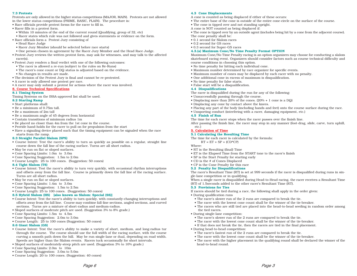#### **7.3 Protests**

Protests are only allowed in the higher status competitions (MAJOR, MAIN). Protests are not allowed in the lower status competitions (PRIME, BASIC, PLAIN). The procedure is:

- Race officials provide protest forms for the racer to fill in.
- Racer fills in a protest form.
- Within 10 minutes of the end of the current round (Qualifying, group of 32, etc)
- Racer states which rule was not followed and gives statements or evidence on the form.
- Race officials form a Protest Jury consisting of
- Head Race Judge
- Racer Jury Member (should be selected before race starts)
- One person chosen in agreement by the Racer Jury Member and the Head Race Judge.
- Protest Jury reviews the written protest form, may ask for witnesses, and may talk to the affected racer(s).
- Protest Jury renders a final verdict with one of the following outcomes:
- The racer is allowed a re-run (subject to the rules on Re-Runs)
- The racer's cone count or DQ status is adjusted based on the evidence.
- No changes in results are made.
- The decision of the Protest Jury is final and cannot be re-protested.
- A racer is only allowed one protest per race.
- A racer may only submit a protest for actions where the racer was involved.

#### **8. Course Technical Specifications**

#### **8.1 Timing System**

Timing Systems on the ISSA-approved list shall be used.

- **8.2 Starting Ramp**
- Start platforms shall:
- Be a minimum of 0.75m tall.
- Be a maximum of 2m tall
- Be a maximum angle of 45 degrees from horizontal
- Contain transitions of minimum radius 1m
- Be placed no closer than 4m from the 1st cone in the course.
- Provide hand-holds for the racer to pull on for propulsion from the start
- Have a signaling device placed such that the timing equipment can be signaled when the race starts from the ramp.

### **8.3 Straight Parallel Slalom (SPS)**

- Course Intent: Test the racer's ability to turn as quickly as possible on a regular, straight line course down the fall line of the racing surface. Turns are all short radius.
- May be run on flat or sloped surfaces.
- Cone Spacing Limits: 1.0m to 3.0m
- Cone Spacing Suggestion: 1.5m to 2.0m
- Course Length: 25 to 100 cones. (Suggestion: 50 cones)

#### **8.4 Tight Slalom (TS)**

- Course Intent: Test the racer's ability to turn very quickly, with occasional rhythm interruptions and offsets away from the fall line. Course is primarily down the fall line of the racing surface. Turns are all short radius.
- May be run on flat or sloped surfaces.
- Cone Spacing Limits: 1.4m to 3.0m
- Cone Spacing Suggestion: 1.5m to 2.5m
- Course Length: 25 to 100 cones. (Suggestion: 50 cones)

#### **8.5 Hybrid Slalom (HS) [also known as Slalom: Special (SS)]**

- Course Intent: Test the racer's ability to turn quickly, with constantly-changing interruptions and offsets away from the fall line. Course may combine fall-line sections, angled sections, and curved sections. Turns are a mixture of short-radius and medium-radius.
- Sloped surfaces of moderate pitch are used. (Suggestion 3% to 8% grade.)
- Cone Spacing Limits: 1.5m to 4.5m
- Cone Spacing Suggestion: 2.0m to 3.0m
- Course Length: 25 to 100 cones (Suggestion: 50 cones)

#### **8.6 Giant Slalom (GS)**

- Course Intent: Test the racer's ability to make a variety of short, medium, and long-radius tur through the course. The course should use the full width of the racing surface, with the course curving a smooth path down the hill. May be run single-lane or dual, depending on road width. Speeds are higher than the Slalom events. Racers tuck occasionally for short intervals.
- Sloped surfaces of moderately-steep pitch are used. (Suggestion 3% to 10% grade.)
- Cone Spacing Limits: 2.0m to 10m
- Cone Spacing Suggestion: 3.0m to 5.0m
- Course Length: 20 to 100 cones. (Suggestion: 40 cones)

# **4.3 Cone Displacements**

A cone is counted as being displaced if either of these occurs:

- The entire base of the cone is outside of the entire cone-circle on the surface of the course.
- The cone is tipped over and not standing upright.
- A cone is NOT counted as being displaced if:

• The cone is tipped over by an outside agent (includes being hit by a cone from the adjacent course). The cone penalty shall be:

- 0.1 second for Slalom races
- 0.2 second for GS races
- 0.3 second for Super-GS races

#### **4.3.(a) Maximum Cone/No Time Penalty Format OPTION**

Maximum Cone/No Time Penalty racing is an option organizers may choose for conducting a slalom skateboard racing event. Organizers should consider factors such as course technical difficulty and course conditions in choosing this option.

- No time penalty for hitting each individual cone.
- Maximum number determined by race organizer for specific events.
- Maximum number of cones may be displaced by each racer with no penalty.
- One additional cone in excess of maximum is disqualification.
- No time penalty for false starts.
- False start will be a disqualification.

#### **4.4 Disqualifications**

- The racer is disqualified during the run for any of the following:
- Unsuccessfully passing through the course.
- Displacing more than 20% of the cones. (20% + 1 cone is a DQ)
- Displacing any cone by contact above the knees.
- Placing any part of the body (including hands and feet) onto the course surface during the race.
- Unsporting conduct (interfering with a racer, damaging equipment, etc.)

#### **4.5 Finish of Run**

The time for each racer stops when the racer passes over the finish line.

After passing the finish line, the racer may stop in any manner (foot-drag, slide, carve, turn uphill, etc.)

#### **5. Calculation of Time**

#### **5.1 Calculating the Resulting Time**

The time for each racer is calculated by the formula:

- $RT = ET + SP + (CD^*CP)$
- Where:
- RT is the Resulting (final) Time
- ET is the Elapsed Time from the START tone to the racer's finish
- SP is the Start Penalty for starting early
- CD is the # of Cones Displaced
- CP is the Cone Penalty for this race

#### **5.2 Penalty for Disqualifications**

The racer's Resultant Time (RT) is set at 999 seconds if the racer is disqualified during runs in single-lane competition or in qualifying.

When a single racer is disqualified during Head-to-Head racing, the racer receives a Resultant Time (RT) of 1.5seconds added to the other racer's Resultant Time (RT).

#### **5.3 Provisions for Ties**

If racers should be tied during a race, the following shall apply in the order given:

• During qualification runs

• During head-to-head competition:

head-to-head round.

Page 6 Page 3

• The racer's slower run of the 2 runs are compared to break the tie.

• The racer's slower run of the 2 runs are compared to break the tie. • The racer with the lowest cone count shall be the winner of the tie-breaker. • If that does not break the tie, then the racers are tied in the final placement.

• The racer's fastest run of the 2 runs are compared to break the tie. • The racer with the lowest cone count shall be the winner of the tie-breaker.

- The racer with the lowest cone count shall be the winner of the tie-breaker.
- The racers who are still tied are placed into the head-to-head seeding in random order among the tied racers. • During single-lane competition:

• The racer with the higher placement in the qualifying round shall be declared the winner of the